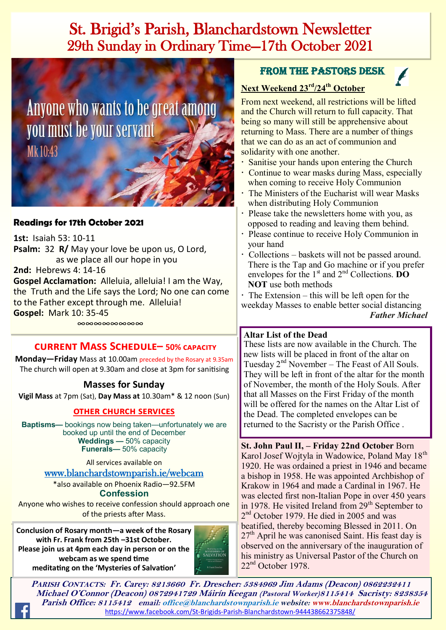# St. Brigid's Parish, Blanchardstown Newsletter 29th Sunday in Ordinary Time—17th October 2021

Anyone who wants to be great among you must be your servant Mk10:43

### **Readings for 17th October 2021**

**1st:** Isaiah 53: 10-11 **Psalm:** 32 **R/** May your love be upon us, O Lord, as we place all our hope in you **2nd:** Hebrews 4: 14-16 **Gospel Acclamation:** Alleluia, alleluia! I am the Way, the Truth and the Life says the Lord; No one can come to the Father except through me. Alleluia! **Gospel:** Mark 10: 35-45

∞∞∞∞∞∞∞∞

### **current Mass Schedule– 50% capacity**

**Monday—Friday** Mass at 10.00am preceded by the Rosary at 9.35am The church will open at 9.30am and close at 3pm for sanitising

### **Masses for Sunday**

**Vigil Mass** at 7pm (Sat), **Day Mass at** 10.30am\* & 12 noon (Sun)

#### **other church services**

**Baptisms—** bookings now being taken—unfortunately we are booked up until the end of December **Weddings —** 50% capacity **Funerals—** 50% capacity

All services available on

[www.blanchardstownparish.ie/webcam](http://www.blanchardstownparish.ie/webcam) \*also available on Phoenix Radio—92.5FM

**Confession**

Anyone who wishes to receive confession should approach one of the priests after Mass.

**Conclusion of Rosary month—a week of the Rosary with Fr. Frank from 25th –31st October. Please join us at 4pm each day in person or on the webcam as we spend time meditating on the 'Mysteries of Salvation'**



### From the Pastors Desk

# **Next Weekend 23rd/24th October**

From next weekend, all restrictions will be lifted and the Church will return to full capacity. That being so many will still be apprehensive about returning to Mass. There are a number of things that we can do as an act of communion and solidarity with one another.

- Sanitise your hands upon entering the Church
- Continue to wear masks during Mass, especially when coming to receive Holy Communion
- The Ministers of the Eucharist will wear Masks when distributing Holy Communion
- Please take the newsletters home with you, as opposed to reading and leaving them behind.
- Please continue to receive Holy Communion in your hand
- Collections baskets will not be passed around. There is the Tap and Go machine or if you prefer envelopes for the 1<sup>st</sup> and 2<sup>nd</sup> Collections. **DO NOT** use both methods

 $\cdot$  The Extension – this will be left open for the weekday Masses to enable better social distancing *Father Michael*

#### **Altar List of the Dead**

These lists are now available in the Church. The new lists will be placed in front of the altar on Tuesday  $2<sup>nd</sup>$  November – The Feast of All Souls. They will be left in front of the altar for the month of November, the month of the Holy Souls. After that all Masses on the First Friday of the month will be offered for the names on the Altar List of the Dead. The completed envelopes can be returned to the Sacristy or the Parish Office .

**St. John Paul II, – Friday 22nd October** Born Karol Josef Wojtyla in Wadowice, Poland May 18<sup>th</sup> 1920. He was ordained a priest in 1946 and became a bishop in 1958. He was appointed Archbishop of Krakow in 1964 and made a Cardinal in 1967. He was elected first non-Italian Pope in over 450 years in 1978. He visited Ireland from  $29<sup>th</sup>$  September to 2<sup>nd</sup> October 1979. He died in 2005 and was beatified, thereby becoming Blessed in 2011. On  $27<sup>th</sup>$  April he was canonised Saint. His feast day is observed on the anniversary of the inauguration of his ministry as Universal Pastor of the Church on 22<sup>nd</sup> October 1978.

**PARISH CONTACTS: Fr. Carey: 8213660 Fr. Drescher: 5384969 Jim Adams (Deacon) 0862232411 Michael O'Connor (Deacon) 0872941729 Máirín Keegan (Pastoral Worker)8115414 Sacristy: 8238354 Parish Office: 8115412 email: office@blanchardstownparish.ie website: www.blanchardstownparish.ie**  [https://www.facebook.com/St](https://www.facebook.com/St-Brigids-Parish-Blanchardstown-944438662375848/)-Brigids-Parish-Blanchardstown-944438662375848/